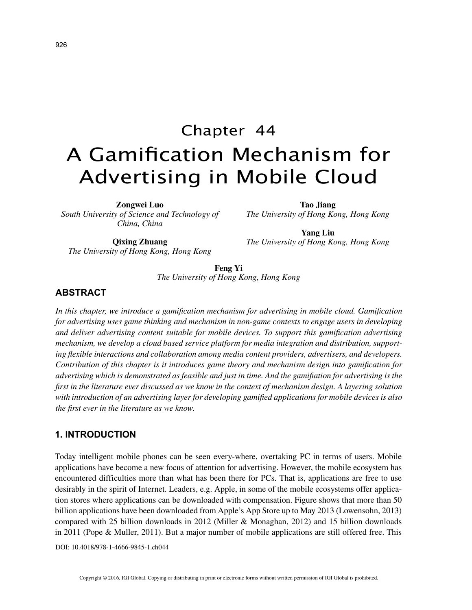# Chapter 44 A Gamification Mechanism for Advertising in Mobile Cloud

**Zongwei Luo**

*South University of Science and Technology of China, China*

**Tao Jiang** *The University of Hong Kong, Hong Kong*

**Qixing Zhuang** *The University of Hong Kong, Hong Kong*

**Yang Liu** *The University of Hong Kong, Hong Kong*

**Feng Yi** *The University of Hong Kong, Hong Kong*

# **ABSTRACT**

*In this chapter, we introduce a gamification mechanism for advertising in mobile cloud. Gamification for advertising uses game thinking and mechanism in non-game contexts to engage users in developing and deliver advertising content suitable for mobile devices. To support this gamification advertising mechanism, we develop a cloud based service platform for media integration and distribution, supporting flexible interactions and collaboration among media content providers, advertisers, and developers. Contribution of this chapter is it introduces game theory and mechanism design into gamification for advertising which is demonstrated as feasible and just in time. And the gamifiation for advertising is the first in the literature ever discussed as we know in the context of mechanism design. A layering solution with introduction of an advertising layer for developing gamified applications for mobile devices is also the first ever in the literature as we know.*

## **1. INTRODUCTION**

Today intelligent mobile phones can be seen every-where, overtaking PC in terms of users. Mobile applications have become a new focus of attention for advertising. However, the mobile ecosystem has encountered difficulties more than what has been there for PCs. That is, applications are free to use desirably in the spirit of Internet. Leaders, e.g. Apple, in some of the mobile ecosystems offer application stores where applications can be downloaded with compensation. Figure shows that more than 50 billion applications have been downloaded from Apple's App Store up to May 2013 (Lowensohn, 2013) compared with 25 billion downloads in 2012 (Miller & Monaghan, 2012) and 15 billion downloads in 2011 (Pope & Muller, 2011). But a major number of mobile applications are still offered free. This

DOI: 10.4018/978-1-4666-9845-1.ch044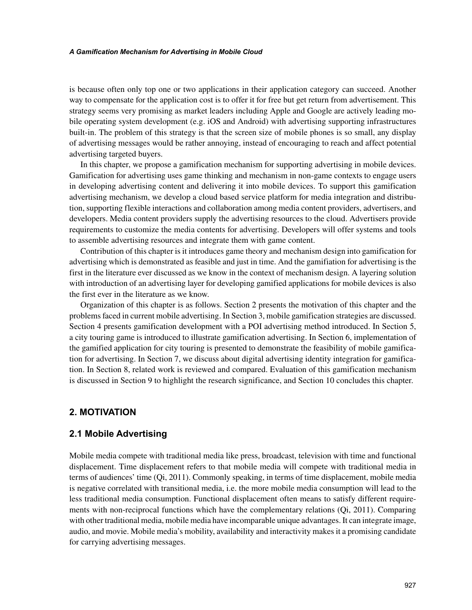#### *A Gamification Mechanism for Advertising in Mobile Cloud*

is because often only top one or two applications in their application category can succeed. Another way to compensate for the application cost is to offer it for free but get return from advertisement. This strategy seems very promising as market leaders including Apple and Google are actively leading mobile operating system development (e.g. iOS and Android) with advertising supporting infrastructures built-in. The problem of this strategy is that the screen size of mobile phones is so small, any display of advertising messages would be rather annoying, instead of encouraging to reach and affect potential advertising targeted buyers.

In this chapter, we propose a gamification mechanism for supporting advertising in mobile devices. Gamification for advertising uses game thinking and mechanism in non-game contexts to engage users in developing advertising content and delivering it into mobile devices. To support this gamification advertising mechanism, we develop a cloud based service platform for media integration and distribution, supporting flexible interactions and collaboration among media content providers, advertisers, and developers. Media content providers supply the advertising resources to the cloud. Advertisers provide requirements to customize the media contents for advertising. Developers will offer systems and tools to assemble advertising resources and integrate them with game content.

Contribution of this chapter is it introduces game theory and mechanism design into gamification for advertising which is demonstrated as feasible and just in time. And the gamifiation for advertising is the first in the literature ever discussed as we know in the context of mechanism design. A layering solution with introduction of an advertising layer for developing gamified applications for mobile devices is also the first ever in the literature as we know.

Organization of this chapter is as follows. Section 2 presents the motivation of this chapter and the problems faced in current mobile advertising. In Section 3, mobile gamification strategies are discussed. Section 4 presents gamification development with a POI advertising method introduced. In Section 5, a city touring game is introduced to illustrate gamification advertising. In Section 6, implementation of the gamified application for city touring is presented to demonstrate the feasibility of mobile gamification for advertising. In Section 7, we discuss about digital advertising identity integration for gamification. In Section 8, related work is reviewed and compared. Evaluation of this gamification mechanism is discussed in Section 9 to highlight the research significance, and Section 10 concludes this chapter.

# **2. MOTIVATION**

## **2.1 Mobile Advertising**

Mobile media compete with traditional media like press, broadcast, television with time and functional displacement. Time displacement refers to that mobile media will compete with traditional media in terms of audiences' time (Qi, 2011). Commonly speaking, in terms of time displacement, mobile media is negative correlated with transitional media, i.e. the more mobile media consumption will lead to the less traditional media consumption. Functional displacement often means to satisfy different requirements with non-reciprocal functions which have the complementary relations (Qi, 2011). Comparing with other traditional media, mobile media have incomparable unique advantages. It can integrate image, audio, and movie. Mobile media's mobility, availability and interactivity makes it a promising candidate for carrying advertising messages.